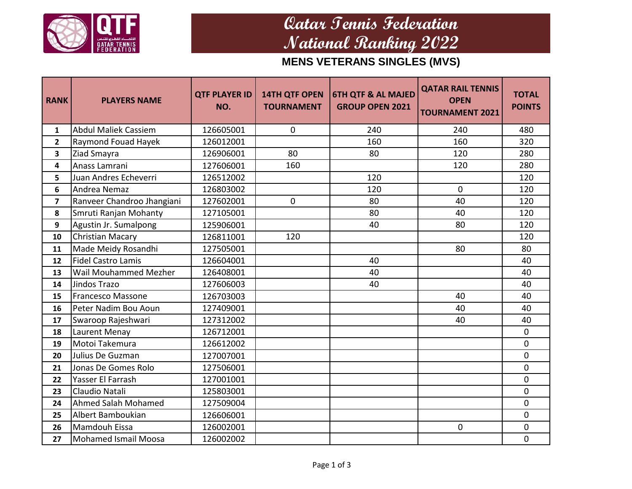

### **Qatar Tennis Federation National Ranking 2022**

### **MENS VETERANS SINGLES (MVS)**

| <b>RANK</b>             | <b>PLAYERS NAME</b>          | <b>QTF PLAYER ID</b><br>NO. | <b>14TH QTF OPEN</b><br><b>TOURNAMENT</b> | <b>6TH QTF &amp; AL MAJED</b><br><b>GROUP OPEN 2021</b> | <b>QATAR RAIL TENNIS</b><br><b>OPEN</b><br><b>TOURNAMENT 2021</b> | <b>TOTAL</b><br><b>POINTS</b> |
|-------------------------|------------------------------|-----------------------------|-------------------------------------------|---------------------------------------------------------|-------------------------------------------------------------------|-------------------------------|
| $\mathbf{1}$            | <b>Abdul Maliek Cassiem</b>  | 126605001                   | $\mathbf 0$                               | 240                                                     | 240                                                               | 480                           |
| $\overline{2}$          | Raymond Fouad Hayek          | 126012001                   |                                           | 160                                                     | 160                                                               | 320                           |
| 3                       | Ziad Smayra                  | 126906001                   | 80                                        | 80                                                      | 120                                                               | 280                           |
| $\overline{\mathbf{4}}$ | Anass Lamrani                | 127606001                   | 160                                       |                                                         | 120                                                               | 280                           |
| 5                       | Juan Andres Echeverri        | 126512002                   |                                           | 120                                                     |                                                                   | 120                           |
| 6                       | Andrea Nemaz                 | 126803002                   |                                           | 120                                                     | $\mathbf 0$                                                       | 120                           |
| $\overline{\mathbf{z}}$ | Ranveer Chandroo Jhangiani   | 127602001                   | $\Omega$                                  | 80                                                      | 40                                                                | 120                           |
| 8                       | Smruti Ranjan Mohanty        | 127105001                   |                                           | 80                                                      | 40                                                                | 120                           |
| $\boldsymbol{9}$        | Agustin Jr. Sumalpong        | 125906001                   |                                           | 40                                                      | 80                                                                | 120                           |
| 10                      | Christian Macary             | 126811001                   | 120                                       |                                                         |                                                                   | 120                           |
| 11                      | Made Meidy Rosandhi          | 127505001                   |                                           |                                                         | 80                                                                | 80                            |
| 12                      | <b>Fidel Castro Lamis</b>    | 126604001                   |                                           | 40                                                      |                                                                   | 40                            |
| 13                      | <b>Wail Mouhammed Mezher</b> | 126408001                   |                                           | 40                                                      |                                                                   | 40                            |
| 14                      | Jindos Trazo                 | 127606003                   |                                           | 40                                                      |                                                                   | 40                            |
| 15                      | <b>Francesco Massone</b>     | 126703003                   |                                           |                                                         | 40                                                                | 40                            |
| 16                      | Peter Nadim Bou Aoun         | 127409001                   |                                           |                                                         | 40                                                                | 40                            |
| 17                      | Swaroop Rajeshwari           | 127312002                   |                                           |                                                         | 40                                                                | 40                            |
| 18                      | Laurent Menay                | 126712001                   |                                           |                                                         |                                                                   | $\mathbf 0$                   |
| 19                      | Motoi Takemura               | 126612002                   |                                           |                                                         |                                                                   | $\mathbf 0$                   |
| 20                      | Julius De Guzman             | 127007001                   |                                           |                                                         |                                                                   | $\mathbf 0$                   |
| 21                      | Jonas De Gomes Rolo          | 127506001                   |                                           |                                                         |                                                                   | $\overline{0}$                |
| 22                      | Yasser El Farrash            | 127001001                   |                                           |                                                         |                                                                   | 0                             |
| 23                      | Claudio Natali               | 125803001                   |                                           |                                                         |                                                                   | $\overline{0}$                |
| 24                      | Ahmed Salah Mohamed          | 127509004                   |                                           |                                                         |                                                                   | 0                             |
| 25                      | Albert Bamboukian            | 126606001                   |                                           |                                                         |                                                                   | $\overline{0}$                |
| 26                      | Mamdouh Eissa                | 126002001                   |                                           |                                                         | 0                                                                 | $\pmb{0}$                     |
| 27                      | <b>Mohamed Ismail Moosa</b>  | 126002002                   |                                           |                                                         |                                                                   | $\mathbf 0$                   |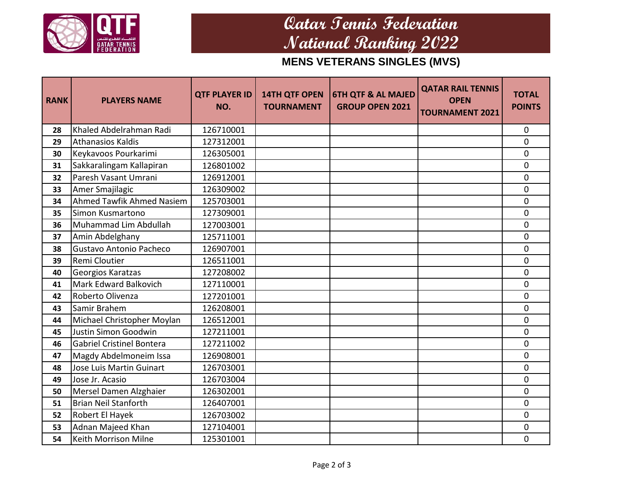

# **Qatar Tennis Federation National Ranking 2022**

#### **MENS VETERANS SINGLES (MVS)**

| <b>RANK</b> | <b>PLAYERS NAME</b>              | <b>QTF PLAYER ID</b><br>NO. | <b>14TH QTF OPEN</b><br><b>TOURNAMENT</b> | <b>6TH QTF &amp; AL MAJED</b><br><b>GROUP OPEN 2021</b> | <b>QATAR RAIL TENNIS</b><br><b>OPEN</b><br><b>TOURNAMENT 2021</b> | <b>TOTAL</b><br><b>POINTS</b> |
|-------------|----------------------------------|-----------------------------|-------------------------------------------|---------------------------------------------------------|-------------------------------------------------------------------|-------------------------------|
| 28          | Khaled Abdelrahman Radi          | 126710001                   |                                           |                                                         |                                                                   | 0                             |
| 29          | <b>Athanasios Kaldis</b>         | 127312001                   |                                           |                                                         |                                                                   | 0                             |
| 30          | Keykavoos Pourkarimi             | 126305001                   |                                           |                                                         |                                                                   | 0                             |
| 31          | Sakkaralingam Kallapiran         | 126801002                   |                                           |                                                         |                                                                   | $\mathbf 0$                   |
| 32          | Paresh Vasant Umrani             | 126912001                   |                                           |                                                         |                                                                   | $\overline{0}$                |
| 33          | Amer Smajilagic                  | 126309002                   |                                           |                                                         |                                                                   | 0                             |
| 34          | Ahmed Tawfik Ahmed Nasiem        | 125703001                   |                                           |                                                         |                                                                   | 0                             |
| 35          | Simon Kusmartono                 | 127309001                   |                                           |                                                         |                                                                   | 0                             |
| 36          | Muhammad Lim Abdullah            | 127003001                   |                                           |                                                         |                                                                   | $\mathbf 0$                   |
| 37          | Amin Abdelghany                  | 125711001                   |                                           |                                                         |                                                                   | 0                             |
| 38          | <b>Gustavo Antonio Pacheco</b>   | 126907001                   |                                           |                                                         |                                                                   | 0                             |
| 39          | Remi Cloutier                    | 126511001                   |                                           |                                                         |                                                                   | $\pmb{0}$                     |
| 40          | Georgios Karatzas                | 127208002                   |                                           |                                                         |                                                                   | $\mathbf 0$                   |
| 41          | <b>Mark Edward Balkovich</b>     | 127110001                   |                                           |                                                         |                                                                   | $\mathbf 0$                   |
| 42          | Roberto Olivenza                 | 127201001                   |                                           |                                                         |                                                                   | 0                             |
| 43          | Samir Brahem                     | 126208001                   |                                           |                                                         |                                                                   | $\overline{0}$                |
| 44          | Michael Christopher Moylan       | 126512001                   |                                           |                                                         |                                                                   | 0                             |
| 45          | Justin Simon Goodwin             | 127211001                   |                                           |                                                         |                                                                   | 0                             |
| 46          | <b>Gabriel Cristinel Bontera</b> | 127211002                   |                                           |                                                         |                                                                   | $\overline{0}$                |
| 47          | Magdy Abdelmoneim Issa           | 126908001                   |                                           |                                                         |                                                                   | 0                             |
| 48          | <b>Jose Luis Martin Guinart</b>  | 126703001                   |                                           |                                                         |                                                                   | 0                             |
| 49          | Jose Jr. Acasio                  | 126703004                   |                                           |                                                         |                                                                   | $\mathbf 0$                   |
| 50          | Mersel Damen Alzghaier           | 126302001                   |                                           |                                                         |                                                                   | $\mathbf 0$                   |
| 51          | <b>Brian Neil Stanforth</b>      | 126407001                   |                                           |                                                         |                                                                   | 0                             |
| 52          | Robert El Hayek                  | 126703002                   |                                           |                                                         |                                                                   | 0                             |
| 53          | Adnan Majeed Khan                | 127104001                   |                                           |                                                         |                                                                   | 0                             |
| 54          | Keith Morrison Milne             | 125301001                   |                                           |                                                         |                                                                   | $\mathbf 0$                   |